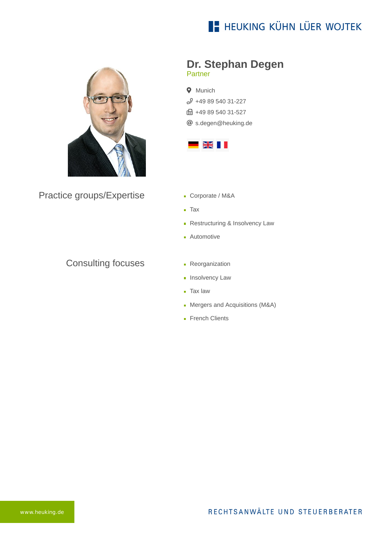## **E- HEUKING KÜHN LÜER WOJTEK**



Practice groups/Expertise

### Consulting focuses

### **Dr. Stephan Degen** Partner

**9** Munich  $$498954031-227$ **B** +49 89 540 31-527 [s.degen@heuking.de](mailto:s.degen@heuking.de?subject=Contact%20via%20website%20heuking.de)



- Corporate / M&A
- Tax
- Restructuring & Insolvency Law
- **Automotive**
- **Reorganization**
- **Insolvency Law**
- **Tax law**
- **Mergers and Acquisitions (M&A)**
- French Clients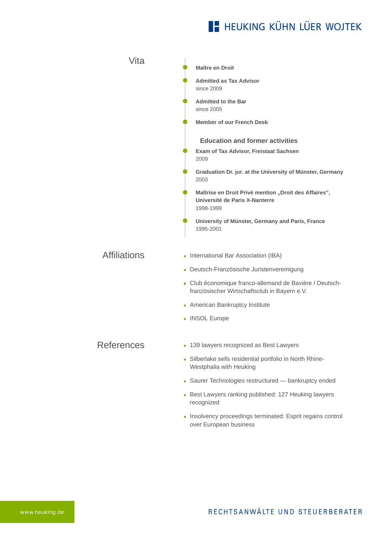# **E- HEUKING KÜHN LÜER WOJTEK**

| Vita                | Maître en Droit                                                                                         |
|---------------------|---------------------------------------------------------------------------------------------------------|
|                     | <b>Admitted as Tax Advisor</b><br>since 2009                                                            |
|                     | <b>Admitted to the Bar</b><br>since 2005                                                                |
|                     | <b>Member of our French Desk</b>                                                                        |
|                     | <b>Education and former activities</b><br>Exam of Tax Advisor, Freistaat Sachsen<br>2009                |
|                     | Graduation Dr. jur. at the University of Münster, Germany<br>2003                                       |
|                     | Maîtrise en Droit Privé mention "Droit des Affaires",<br>Université de Paris X-Nanterre<br>1998-1999    |
|                     | University of Münster, Germany and Paris, France<br>1995-2001                                           |
| <b>Affiliations</b> | International Bar Association (IBA)                                                                     |
|                     | Deutsch-Französische Juristenvereinigung                                                                |
|                     | - Club économique franco-allemand de Bavière / Deutsch-<br>französischer Wirtschaftsclub in Bayern e.V. |
|                     | • American Bankruptcy Institute                                                                         |
|                     | • INSOL Europe                                                                                          |
| References          | • 139 lawyers recognized as Best Lawyers                                                                |
|                     | - Silberlake sells residential portfolio in North Rhine-<br>Westphalia with Heuking                     |
|                     | Saurer Technologies restructured - bankruptcy ended                                                     |
|                     | Best Lawyers ranking published: 127 Heuking lawyers<br>recognized                                       |
|                     | Insolvency proceedings terminated: Esprit regains control<br>over European business                     |